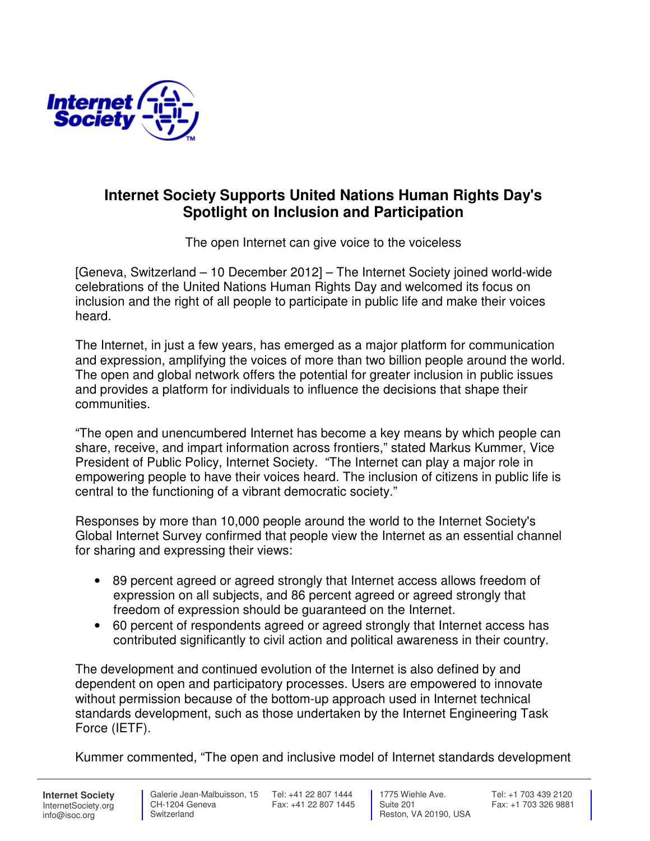

## **Internet Society Supports United Nations Human Rights Day's Spotlight on Inclusion and Participation**

The open Internet can give voice to the voiceless

[Geneva, Switzerland – 10 December 2012] – The Internet Society joined world-wide celebrations of the United Nations Human Rights Day and welcomed its focus on inclusion and the right of all people to participate in public life and make their voices heard.

The Internet, in just a few years, has emerged as a major platform for communication and expression, amplifying the voices of more than two billion people around the world. The open and global network offers the potential for greater inclusion in public issues and provides a platform for individuals to influence the decisions that shape their communities.

"The open and unencumbered Internet has become a key means by which people can share, receive, and impart information across frontiers," stated Markus Kummer, Vice President of Public Policy, Internet Society. "The Internet can play a major role in empowering people to have their voices heard. The inclusion of citizens in public life is central to the functioning of a vibrant democratic society."

Responses by more than 10,000 people around the world to the Internet Society's Global Internet Survey confirmed that people view the Internet as an essential channel for sharing and expressing their views:

- 89 percent agreed or agreed strongly that Internet access allows freedom of expression on all subjects, and 86 percent agreed or agreed strongly that freedom of expression should be guaranteed on the Internet.
- 60 percent of respondents agreed or agreed strongly that Internet access has contributed significantly to civil action and political awareness in their country.

The development and continued evolution of the Internet is also defined by and dependent on open and participatory processes. Users are empowered to innovate without permission because of the bottom-up approach used in Internet technical standards development, such as those undertaken by the Internet Engineering Task Force (IETF).

Kummer commented, "The open and inclusive model of Internet standards development

**Internet Society** InternetSociety.org info@isoc.org

**Switzerland** 

 Galerie Jean-Malbuisson, 15 Tel: +41 22 807 1444 CH-1204 Geneva Fax: +41 22 807 1445

 1775 Wiehle Ave. Suite 201 Reston, VA 20190, USA